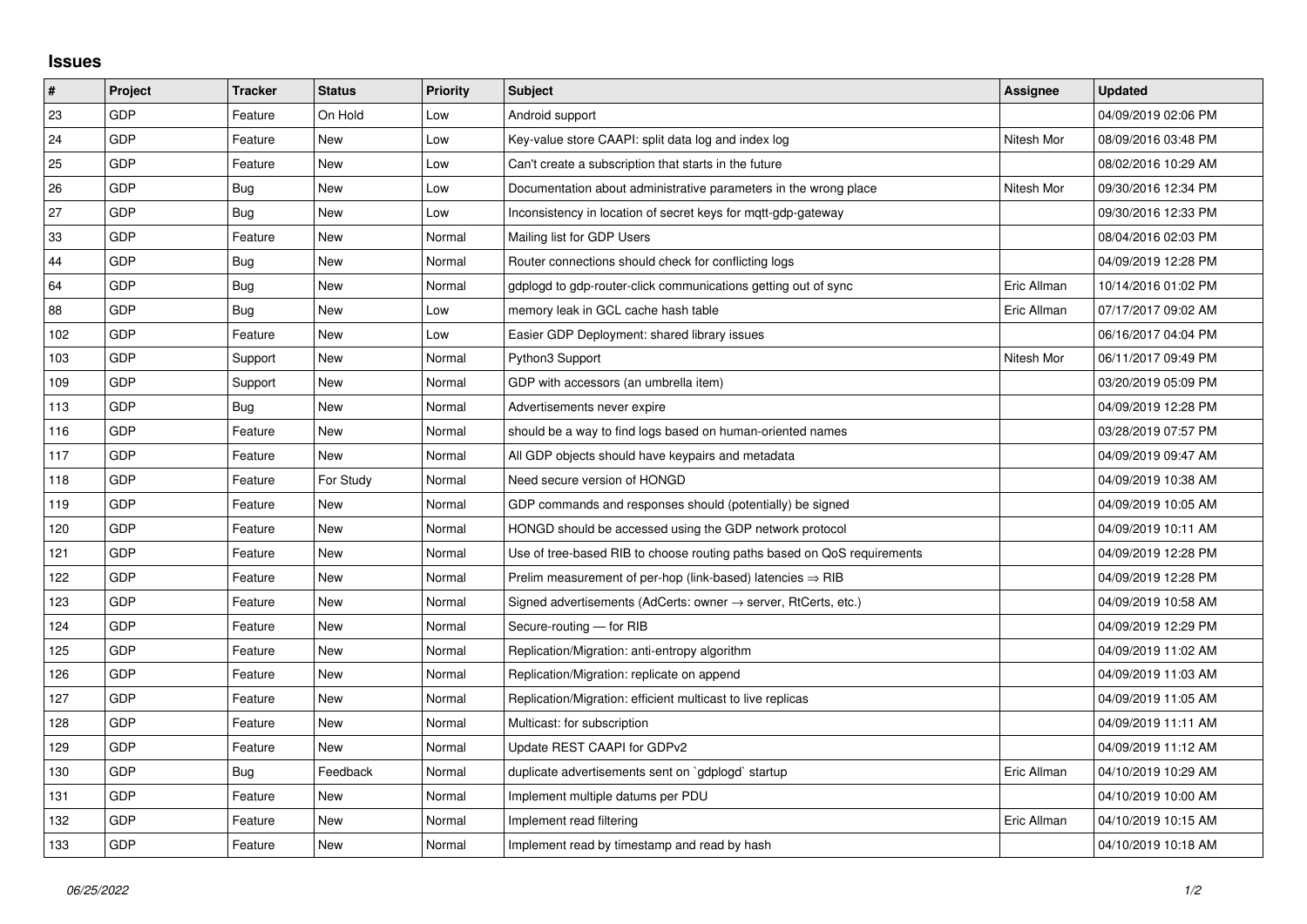## **Issues**

| $\vert$ # | Project    | <b>Tracker</b> | <b>Status</b> | <b>Priority</b> | <b>Subject</b>                                                          | Assignee    | <b>Updated</b>      |
|-----------|------------|----------------|---------------|-----------------|-------------------------------------------------------------------------|-------------|---------------------|
| 23        | GDP        | Feature        | On Hold       | Low             | Android support                                                         |             | 04/09/2019 02:06 PM |
| 24        | <b>GDP</b> | Feature        | <b>New</b>    | Low             | Key-value store CAAPI: split data log and index log                     | Nitesh Mor  | 08/09/2016 03:48 PM |
| 25        | <b>GDP</b> | Feature        | <b>New</b>    | Low             | Can't create a subscription that starts in the future                   |             | 08/02/2016 10:29 AM |
| 26        | GDP        | <b>Bug</b>     | <b>New</b>    | Low             | Documentation about administrative parameters in the wrong place        | Nitesh Mor  | 09/30/2016 12:34 PM |
| 27        | <b>GDP</b> | Bug            | <b>New</b>    | Low             | Inconsistency in location of secret keys for mqtt-gdp-gateway           |             | 09/30/2016 12:33 PM |
| 33        | <b>GDP</b> | Feature        | <b>New</b>    | Normal          | Mailing list for GDP Users                                              |             | 08/04/2016 02:03 PM |
| 44        | GDP        | Bug            | <b>New</b>    | Normal          | Router connections should check for conflicting logs                    |             | 04/09/2019 12:28 PM |
| 64        | <b>GDP</b> | Bug            | <b>New</b>    | Normal          | gdplogd to gdp-router-click communications getting out of sync          | Eric Allman | 10/14/2016 01:02 PM |
| 88        | <b>GDP</b> | <b>Bug</b>     | <b>New</b>    | Low             | memory leak in GCL cache hash table                                     | Eric Allman | 07/17/2017 09:02 AM |
| 102       | <b>GDP</b> | Feature        | New           | Low             | Easier GDP Deployment: shared library issues                            |             | 06/16/2017 04:04 PM |
| 103       | <b>GDP</b> | Support        | <b>New</b>    | Normal          | Python3 Support                                                         | Nitesh Mor  | 06/11/2017 09:49 PM |
| 109       | <b>GDP</b> | Support        | New           | Normal          | GDP with accessors (an umbrella item)                                   |             | 03/20/2019 05:09 PM |
| 113       | <b>GDP</b> | Bug            | <b>New</b>    | Normal          | Advertisements never expire                                             |             | 04/09/2019 12:28 PM |
| 116       | <b>GDP</b> | Feature        | <b>New</b>    | Normal          | should be a way to find logs based on human-oriented names              |             | 03/28/2019 07:57 PM |
| 117       | <b>GDP</b> | Feature        | <b>New</b>    | Normal          | All GDP objects should have keypairs and metadata                       |             | 04/09/2019 09:47 AM |
| 118       | <b>GDP</b> | Feature        | For Study     | Normal          | Need secure version of HONGD                                            |             | 04/09/2019 10:38 AM |
| 119       | <b>GDP</b> | Feature        | <b>New</b>    | Normal          | GDP commands and responses should (potentially) be signed               |             | 04/09/2019 10:05 AM |
| 120       | <b>GDP</b> | Feature        | <b>New</b>    | Normal          | HONGD should be accessed using the GDP network protocol                 |             | 04/09/2019 10:11 AM |
| 121       | <b>GDP</b> | Feature        | <b>New</b>    | Normal          | Use of tree-based RIB to choose routing paths based on QoS requirements |             | 04/09/2019 12:28 PM |
| 122       | <b>GDP</b> | Feature        | <b>New</b>    | Normal          | Prelim measurement of per-hop (link-based) latencies $\Rightarrow$ RIB  |             | 04/09/2019 12:28 PM |
| 123       | <b>GDP</b> | Feature        | <b>New</b>    | Normal          | Signed advertisements (AdCerts: owner → server, RtCerts, etc.)          |             | 04/09/2019 10:58 AM |
| 124       | <b>GDP</b> | Feature        | <b>New</b>    | Normal          | Secure-routing - for RIB                                                |             | 04/09/2019 12:29 PM |
| 125       | <b>GDP</b> | Feature        | <b>New</b>    | Normal          | Replication/Migration: anti-entropy algorithm                           |             | 04/09/2019 11:02 AM |
| 126       | <b>GDP</b> | Feature        | <b>New</b>    | Normal          | Replication/Migration: replicate on append                              |             | 04/09/2019 11:03 AM |
| 127       | <b>GDP</b> | Feature        | <b>New</b>    | Normal          | Replication/Migration: efficient multicast to live replicas             |             | 04/09/2019 11:05 AM |
| 128       | <b>GDP</b> | Feature        | <b>New</b>    | Normal          | Multicast: for subscription                                             |             | 04/09/2019 11:11 AM |
| 129       | <b>GDP</b> | Feature        | <b>New</b>    | Normal          | Update REST CAAPI for GDPv2                                             |             | 04/09/2019 11:12 AM |
| 130       | <b>GDP</b> | Bug            | Feedback      | Normal          | duplicate advertisements sent on `gdplogd` startup                      | Eric Allman | 04/10/2019 10:29 AM |
| 131       | GDP        | Feature        | <b>New</b>    | Normal          | Implement multiple datums per PDU                                       |             | 04/10/2019 10:00 AM |
| 132       | <b>GDP</b> | Feature        | <b>New</b>    | Normal          | Implement read filtering                                                | Eric Allman | 04/10/2019 10:15 AM |
| 133       | <b>GDP</b> | Feature        | <b>New</b>    | Normal          | Implement read by timestamp and read by hash                            |             | 04/10/2019 10:18 AM |